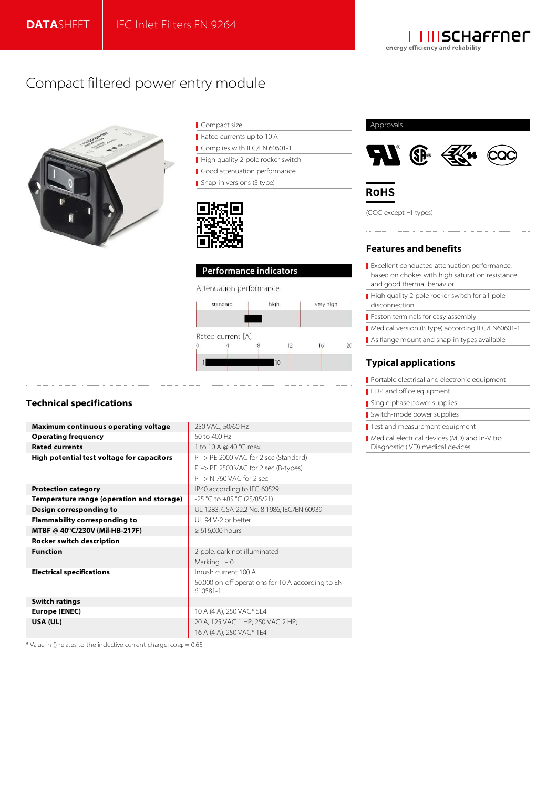

# Compact filtered power entry module



| Compact size                      |
|-----------------------------------|
| Rated currents up to 10 A         |
| Complies with IEC/EN 60601-1      |
| High quality 2-pole rocker switch |
| Good attenuation performance      |
| Snap-in versions (S type)         |



## Performance indicators

#### Attenuation performance



## Approvals



**ROHS** 

(CQC except HI-types)

### **Features and benefits**

- Excellent conducted attenuation performance, based on chokes with high saturation resistance and good thermal behavior
- High quality 2-pole rocker switch for all-pole disconnection
- **Faston terminals for easy assembly**
- Medical version (B type) according IEC/EN60601-1
- As flange mount and snap-in types available

## **Typical applications**

- Portable electrical and electronic equipment
- EDP and office equipment
- Single-phase power supplies
- Switch-mode power supplies
- Test and measurement equipment
- Medical electrical devices (MD) and In-Vitro
- Diagnostic (IVD) medical devices

## **Technical specifications**

| <b>Maximum continuous operating voltage</b> | 250 VAC, 50/60 Hz                                 |  |  |  |  |
|---------------------------------------------|---------------------------------------------------|--|--|--|--|
| <b>Operating frequency</b>                  | 50 to 400 Hz                                      |  |  |  |  |
| <b>Rated currents</b>                       | 1 to 10 A @ 40 °C max.                            |  |  |  |  |
| High potential test voltage for capacitors  | P -> PE 2000 VAC for 2 sec (Standard)             |  |  |  |  |
|                                             | P -> PE 2500 VAC for 2 sec (B-types)              |  |  |  |  |
|                                             | $P \rightarrow N$ 760 VAC for 2 sec.              |  |  |  |  |
| <b>Protection category</b>                  | IP40 according to IEC 60529                       |  |  |  |  |
| Temperature range (operation and storage)   | -25 °C to +85 °C (25/85/21)                       |  |  |  |  |
| Design corresponding to                     | UL 1283, CSA 22.2 No. 8 1986, IEC/EN 60939        |  |  |  |  |
| <b>Flammability corresponding to</b>        | UI 94 V-2 or better                               |  |  |  |  |
| MTBF @ 40°C/230V (Mil-HB-217F)              | $\geq 616,000$ hours                              |  |  |  |  |
| <b>Rocker switch description</b>            |                                                   |  |  |  |  |
| <b>Function</b>                             | 2-pole, dark not illuminated                      |  |  |  |  |
|                                             | Marking $I - 0$                                   |  |  |  |  |
| <b>Electrical specifications</b>            | Inrush current 100 A                              |  |  |  |  |
|                                             | 50,000 on-off operations for 10 A according to EN |  |  |  |  |
|                                             | 610581-1                                          |  |  |  |  |
| <b>Switch ratings</b>                       |                                                   |  |  |  |  |
| Europe (ENEC)                               | 10 A (4 A), 250 VAC* 5E4                          |  |  |  |  |
| USA (UL)                                    | 20 A, 125 VAC 1 HP; 250 VAC 2 HP;                 |  |  |  |  |
|                                             | 16 A (4 A), 250 VAC* 1E4                          |  |  |  |  |

\* Value in  $\theta$  relates to the inductive current charge:  $cos\phi = 0.65$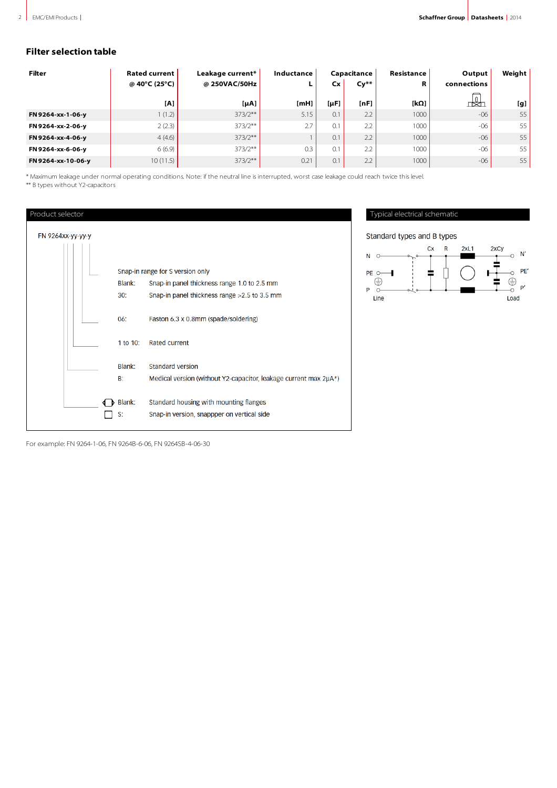## **Filter selection table**

| Filter             | <b>Rated current</b> | Leakage current* | Inductance |           | Capacitance      | Resistance | Output      | Weight |
|--------------------|----------------------|------------------|------------|-----------|------------------|------------|-------------|--------|
|                    | @ 40°C (25°C)        | @ 250VAC/50Hz    | ь.         | Cx        | $Cy**$           | R          | connections |        |
|                    | [A]                  | $[\mu A]$        | $[m$ $H]$  | $[\mu F]$ | [nF]             | [kΩ]       | ង           | [g]    |
| FN 9264-xx-1-06-y  | 1(1.2)               | $373/2**$        | 5.15       | 0.1       | 2.2              | 1000       | $-06$       | 55     |
| FN 9264-xx-2-06-y  | 2(2.3)               | $373/2**$        | 2.7        | 0.1       | 2.2 <sub>1</sub> | 1000       | $-06$       | 55     |
| FN 9264-xx-4-06-y  | 4(4.6)               | $373/2**$        |            | 0.1       | 2.2              | 1000       | $-06$       | 55     |
| FN 9264-xx-6-06-y  | 6(6.9)               | $373/2**$        | 0.3        | 0.1       | 2.2 <sub>1</sub> | 1000       | $-06$       | 55     |
| FN 9264-xx-10-06-y | 10(11.5)             | $373/2**$        | 0.21       | 0.1       | 2.2 <sub>1</sub> | 1000       | $-06$       | 55     |

\* Maximum leakage under normal operating conditions. Note: if the neutral line is interrupted, worst case leakage could reach twice this level. \*\* B types without Y2-capacitors

Product selector FN 9264xx-yy-yy-y Snap-in range for S version only Blank: Snap-in panel thickness range 1.0 to 2.5 mm  $30:$ Snap-in panel thickness range > 2.5 to 3.5 mm 06: Faston 6.3 x 0.8mm (spade/soldering) 1 to 10: Rated current Blank: Standard version  $B$ : Medical version (without Y2-capacitor, leakage current max 2µA\*) Blank: Standard housing with mounting flanges  $\Box$  s: Snap-in version, snappper on vertical side

Typical electrical schematic

Standard types and B types



For example: FN 9264-1-06, FN 9264B-6-06, FN 9264SB-4-06-30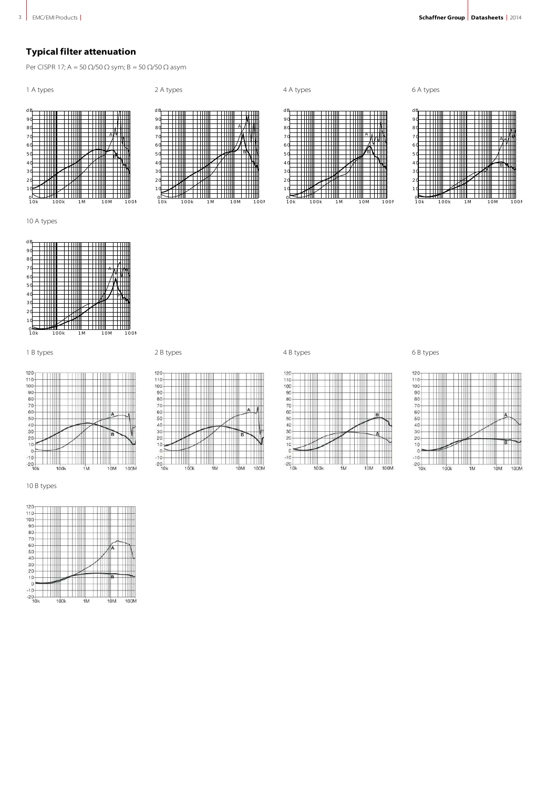## **Typical filter attenuation**

Per CISPR 17; A = 50  $\Omega$ /50  $\Omega$  sym; B = 50  $\Omega$ /50  $\Omega$  asym

1 A types

2 A types

A

B

10k 100k 1M 10M 100M

dB 90 80 70 60 50 40 30 20 10 0 10k 100k 1M 10M 100M A B

10 A types



1 B types 6 B types 2 B types 2 B types 4 B types 6 B types 6 B types 4 B types 6 B types 6 B types 4 B types 6 B types 6 B types 6 B types 6 B types 6 B types 6 B types 6 B types 6 B types 6 B types 6 B types 6 B types 6

120-110-100<br>100-90-80<br>80-70-60-50-40-30-

 $20$ 

 $\frac{1}{10}$  $\overline{a}$ 





6 A types







4 A types



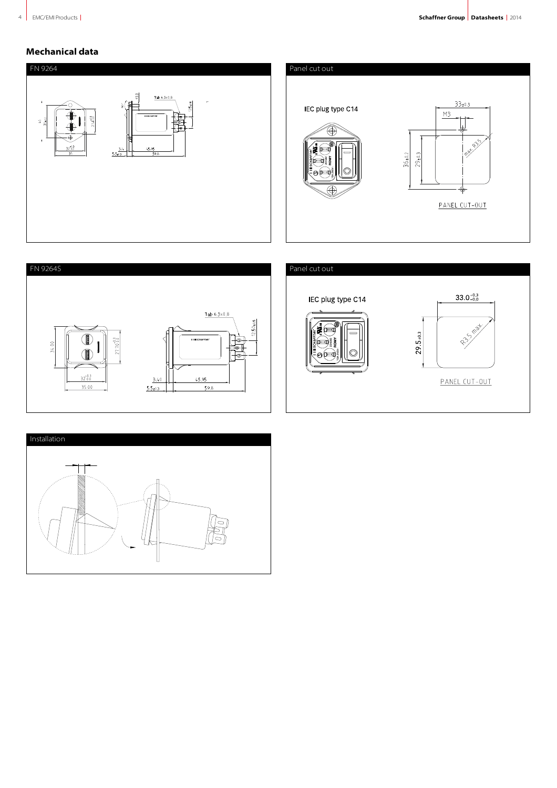## **Mechanical data**